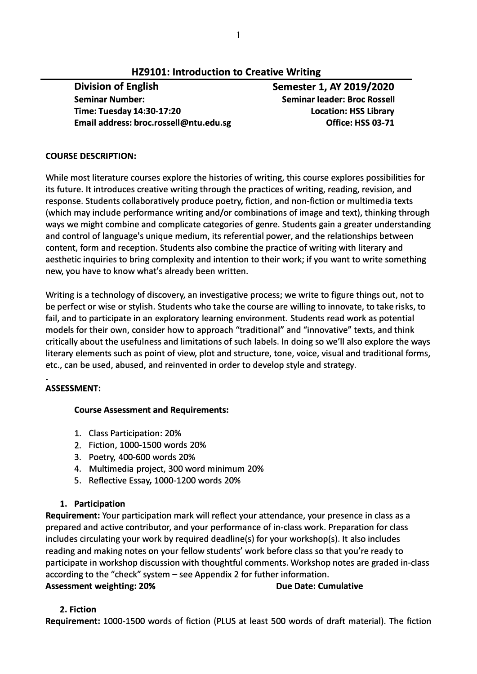# **HZ9101: Introduction to Creative Writing**

**Division of English Semester 1, AY 2019/2020 Seminar Number: Time: Tuesday 14:30-17:20 Email address: broc.rossell@ntu.edu.sg** 

**Seminar leader: Broe Rossell Location: HSS Library Office: HSS 03-71** 

## **COURSE DESCRIPTION:**

While most literature courses explore the histories of writing, this course explores possibilities for its future. It introduces creative writing through the practices of writing, reading, revision, and response. Students collaboratively produce poetry, fiction, and non-fiction or multimedia texts (which may include performance writing and/or combinations of image and text), thinking through ways we might combine and complicate categories of genre. Students gain a greater understanding and control of language's unique medium, its referential power, and the relationships between content, form and reception. Students also combine the practice of writing with literary and aesthetic inquiries to bring complexity and intention to their work; if you want to write something new, you have to know what's already been written.

Writing is a technology of discovery, an investigative process; we write to figure things out, not to be perfect or wise or stylish. Students who take the course are willing to innovate, to take risks, to fail, and to participate in an exploratory learning environment. Students read work as potential models for their own, consider how to approach "traditional" and "innovative" texts, and think critically about the usefulness and limitations of such labels. In doing so we'll also explore the ways literary elements such as point of view, plot and structure, tone, voice, visual and traditional forms, etc., can be used, abused, and reinvented in order to develop style and strategy.

# **ASSESSMENT:**

# **Course Assessment and Requirements:**

- 1. Class Participation: 20%
- 2. Fiction, 1000-1500 words 20%
- 3. Poetry, 400-600 words 20%
- 4. Multimedia project, 300 word minimum 20%
- 5. Reflective Essay, 1000-1200 words 20%

# **1. Participation**

**Requirement:** Your participation mark will reflect your attendance, your presence in class as a prepared and active contributor, and your performance of in-class work. Preparation for class includes circulating your work by required deadline(s) for your workshop(s). It also includes reading and making notes on your fellow students' work before class so that you're ready to participate in workshop discussion with thoughtful comments. Workshop notes are graded in-class according to the "check" system - see Appendix 2 for futher information. **Assessment weighting: 20% Due Date: Cumulative Assessment weighting: 20% Due Date: Cumulative** 

# **2. Fiction**

**Requirement:** 1000-1500 words of fiction (PLUS at least 500 words of draft material). The fiction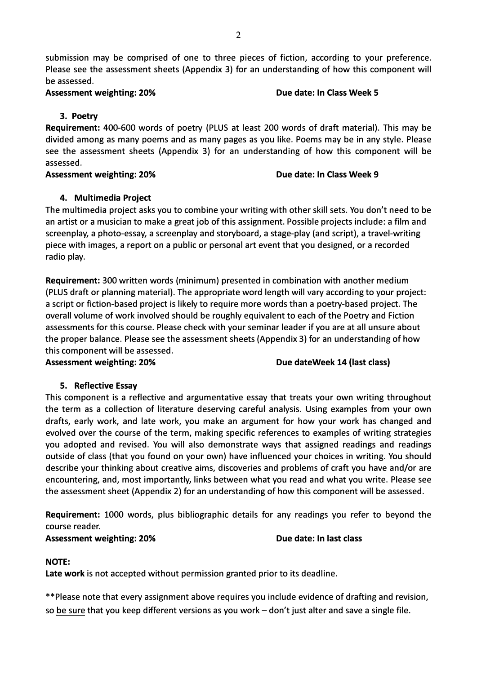**Assessment weighting: 20% Due date: In Class Week 5** 

**3. Poetry**

**Requirement:** 400-600 words of poetry {PLUS at least 200 words of draft material). This may be divided among as many poems and as many pages as you like. Poems may be in any style. Please see the assessment sheets {Appendix 3) for an understanding of how this component will be assessed.

**Assessment weighting: 20% Due date: In Class Week 9** 

# **4. Multimedia Project**

The multimedia project asks you to combine your writing with other skill sets. You don't need to be an artist or a musician to make a great job of this assignment. Possible projects include: a film and screenplay, a photo-essay, a screenplay and storyboard, a stage-play {and script), a travel-writing piece with images, a report on a public or personal art event that you designed, or a recorded radio play.

**Requirement:** 300 written words {minimum) presented in combination with another medium {PLUS draft or planning material). The appropriate word length will vary according to your project: a script or fiction-based project is likely to require more words than a poetry-based project. The overall volume of work involved should be roughly equivalent to each of the Poetry and Fiction assessments for this course. Please check with your seminar leader if you are at all unsure about the proper balance. Please see the assessment sheets (Appendix 3) for an understanding of how this component will be assessed.

Assessment weighting: 20% and the setting of the US of the Sessex Due dateWeek 14 (last class)

# **5. Reflective Essay**

This component is a reflective and argumentative essay that treats your own writing throughout the term as a collection of literature deserving careful analysis. Using examples from your own drafts, early work, and late work, you make an argument for how your work has changed and evolved over the course of the term, making specific references to examples of writing strategies you adopted and revised. You will also demonstrate ways that assigned readings and readings outside of class {that you found on your own) have influenced your choices in writing. You should describe your thinking about creative aims, discoveries and problems of craft you have and/or are encountering, and, most importantly, links between what you read and what you write. Please see the assessment sheet {Appendix 2) for an understanding of how this component will be assessed.

**Requirement:** 1000 words, plus bibliographic details for any readings you refer to beyond the course reader.

Assessment weighting: 20% and a set of the set of the Due date: In last class

# **NOTE:**

**Late work** is not accepted without permission granted prior to its deadline.

\*\*Please note that every assignment above requires you include evidence of drafting and revision, so be sure that you keep different versions as you work - don't just alter and save a single file.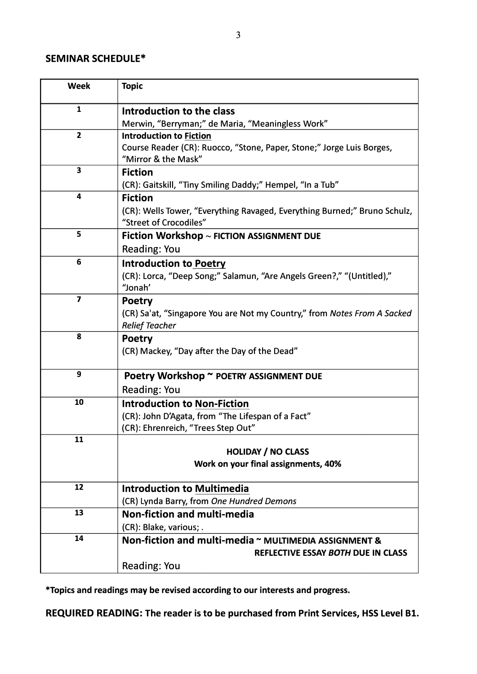# **SEMINAR SCHEDULE\***

| <b>Week</b>             | <b>Topic</b>                                                              |
|-------------------------|---------------------------------------------------------------------------|
| $\mathbf{1}$            | Introduction to the class                                                 |
|                         | Merwin, "Berryman;" de Maria, "Meaningless Work"                          |
| $\overline{2}$          | <b>Introduction to Fiction</b>                                            |
|                         | Course Reader (CR): Ruocco, "Stone, Paper, Stone;" Jorge Luis Borges,     |
|                         | "Mirror & the Mask"                                                       |
| 3                       | <b>Fiction</b>                                                            |
|                         | (CR): Gaitskill, "Tiny Smiling Daddy;" Hempel, "In a Tub"                 |
| 4                       | <b>Fiction</b>                                                            |
|                         | (CR): Wells Tower, "Everything Ravaged, Everything Burned;" Bruno Schulz, |
|                         | "Street of Crocodiles"                                                    |
| 5                       | Fiction Workshop $\sim$ FICTION ASSIGNMENT DUE                            |
|                         | <b>Reading: You</b>                                                       |
| 6                       | <b>Introduction to Poetry</b>                                             |
|                         | (CR): Lorca, "Deep Song;" Salamun, "Are Angels Green?," "(Untitled),"     |
|                         | "Jonah'                                                                   |
| $\overline{\mathbf{z}}$ | <b>Poetry</b>                                                             |
|                         | (CR) Sa'at, "Singapore You are Not my Country," from Notes From A Sacked  |
|                         | <b>Relief Teacher</b>                                                     |
| 8                       | <b>Poetry</b>                                                             |
|                         | (CR) Mackey, "Day after the Day of the Dead"                              |
| 9                       | Poetry Workshop ~ POETRY ASSIGNMENT DUE                                   |
|                         | <b>Reading: You</b>                                                       |
| 10                      | <b>Introduction to Non-Fiction</b>                                        |
|                         | (CR): John D'Agata, from "The Lifespan of a Fact"                         |
|                         | (CR): Ehrenreich, "Trees Step Out"                                        |
| 11                      |                                                                           |
|                         | <b>HOLIDAY / NO CLASS</b>                                                 |
|                         | Work on your final assignments, 40%                                       |
| 12                      | <b>Introduction to Multimedia</b>                                         |
|                         | (CR) Lynda Barry, from One Hundred Demons                                 |
| 13                      | Non-fiction and multi-media                                               |
|                         | (CR): Blake, various; .                                                   |
| 14                      | Non-fiction and multi-media ~ MULTIMEDIA ASSIGNMENT &                     |
|                         | REFLECTIVE ESSAY BOTH DUE IN CLASS                                        |
|                         | <b>Reading: You</b>                                                       |

**\*Topics and readings may be revised according to our interests and progress.**

**REQUIRED READING: The reader is to be purchased from Print Services, HSS Level Bl.**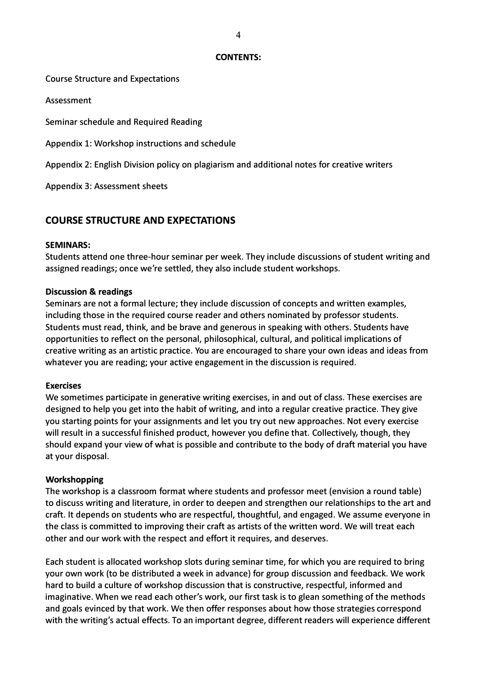#### **CONTENTS:**

#### Course Structure and Expectations

Assessment

Seminar schedule and Required Reading

Appendix 1: Workshop instructions and schedule

Appendix 2: English Division policy on plagiarism and additional notes for creative writers

Appendix 3: Assessment sheets

# **COURSE STRUCTURE AND EXPECTATIONS**

#### **SEMINARS:**

Students attend one three-hour seminar per week. They include discussions of student writing and assigned readings; once we're settled, they also include student workshops.

#### **Discussion & readings**

Seminars are not a formal lecture; they include discussion of concepts and written examples, including those in the required course reader and others nominated by professor students. Students must read, think, and be brave and generous in speaking with others. Students have opportunities to reflect on the personal, philosophical, cultural, and political implications of creative writing as an artistic practice. You are encouraged to share your own ideas and ideas from whatever you are reading; your active engagement in the discussion is required.

#### **Exercises**

We sometimes participate in generative writing exercises, in and out of class. These exercises are designed to help you get into the habit of writing, and into a regular creative practice. They give you starting points for your assignments and let you try out new approaches. Not every exercise will result in a successful finished product, however you define that. Collectively, though, they should expand your view of what is possible and contribute to the body of draft material you have at your disposal.

#### **Workshop ping**

The workshop is a classroom format where students and professor meet (envision a round table) to discuss writing and literature, in order to deepen and strengthen our relationships to the art and craft. It depends on students who are respectful, thoughtful, and engaged. We assume everyone in the class is committed to improving their craft as artists of the written word. We will treat each other and our work with the respect and effort it requires, and deserves.

Each student is allocated workshop slots during seminar time, for which you are required to bring your own work (to be distributed a week in advance) for group discussion and feedback. We work hard to build a culture of workshop discussion that is constructive, respectful, informed and imaginative. When we read each other's work, our first task is to glean something of the methods and goals evinced by that work. We then offer responses about how those strategies correspond with the writing's actual effects. To an important degree, different readers will experience different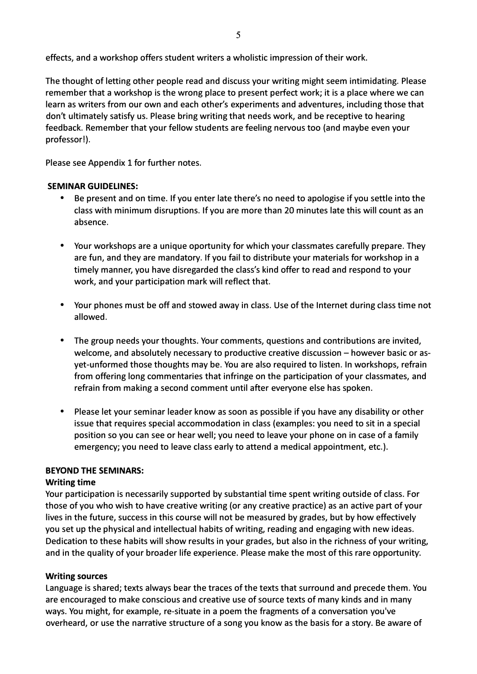effects, and a workshop offers student writers a wholistic impression of their work.

The thought of letting other people read and discuss your writing might seem intimidating. Please remember that a workshop is the wrong place to present perfect work; it is a place where we can learn as writers from our own and each other's experiments and adventures, including those that don't ultimately satisfy us. Please bring writing that needs work, and be receptive to hearing feedback. Remember that your fellow students are feeling nervous too (and maybe even your professor!).

Please see Appendix 1 for further notes.

## **SEMINAR GUIDELINES:**

- Be present and on time. If you enter late there's no need to apologise if you settle into the class with minimum disruptions. If you are more than 20 minutes late this will count as an absence.
- Your workshops are a unique oportunity for which your classmates carefully prepare. They are fun, and they are mandatory. If you fail to distribute your materials for workshop in a timely manner, you have disregarded the class's kind offer to read and respond to your work, and your participation mark will reflect that.
- Your phones must be off and stowed away in class. Use of the Internet during class time not allowed.
- The group needs your thoughts. Your comments, questions and contributions are invited, welcome, and absolutely necessary to productive creative discussion - however basic or asyet-unformed those thoughts may be. You are also required to listen. In workshops, refrain from offering long commentaries that infringe on the participation of your classmates, and refrain from making a second comment until after everyone else has spoken.
- Please let your seminar leader know as soon as possible if you have any disability or other issue that requires special accommodation in class (examples: you need to sit in a special position so you can see or hear well; you need to leave your phone on in case of a family emergency; you need to leave class early to attend a medical appointment, etc.).

## **BEYOND THE SEMINARS:**

## **Writing time**

Your participation is necessarily supported by substantial time spent writing outside of class. For those of you who wish to have creative writing (or any creative practice) as an active part of your lives in the future, success in this course will not be measured by grades, but by how effectively you set up the physical and intellectual habits of writing, reading and engaging with new ideas. Dedication to these habits will show results in your grades, but also in the richness of your writing, and in the quality of your broader life experience. Please make the most of this rare opportunity.

## **Writing sources**

Language is shared; texts always bear the traces of the texts that surround and precede them. You are encouraged to make conscious and creative use of source texts of many kinds and in many ways. You might, for example, re-situate in a poem the fragments of a conversation you've overheard, or use the narrative structure of a song you know as the basis for a story. Be aware of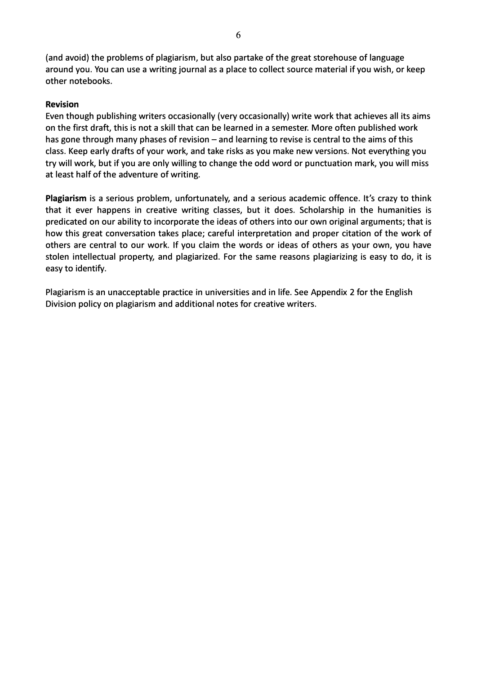(and avoid) the problems of plagiarism, but also partake of the great storehouse of language around you. You can use a writing journal as a place to collect source material if you wish, or keep other notebooks.

## **Revision**

Even though publishing writers occasionally (very occasionally) write work that achieves all its aims on the first draft, this is not a skill that can be learned in a semester. More often published work has gone through many phases of revision  $-$  and learning to revise is central to the aims of this class. Keep early drafts of your work, and take risks as you make new versions. Not everything you try will work, but if you are only willing to change the odd word or punctuation mark, you will miss at least half of the adventure of writing.

Plagiarism is a serious problem, unfortunately, and a serious academic offence. It's crazy to think that it ever happens in creative writing classes, but it does. Scholarship in the humanities is predicated on our ability to incorporate the ideas of others into our own original arguments; that is how this great conversation takes place; careful interpretation and proper citation of the work of others are central to our work. If you claim the words or ideas of others as your own, you have stolen intellectual property, and plagiarized. For the same reasons plagiarizing is easy to do, it is easy to identify.

Plagiarism is an unacceptable practice in universities and in life. See Appendix 2 for the English Division policy on plagiarism and additional notes for creative writers.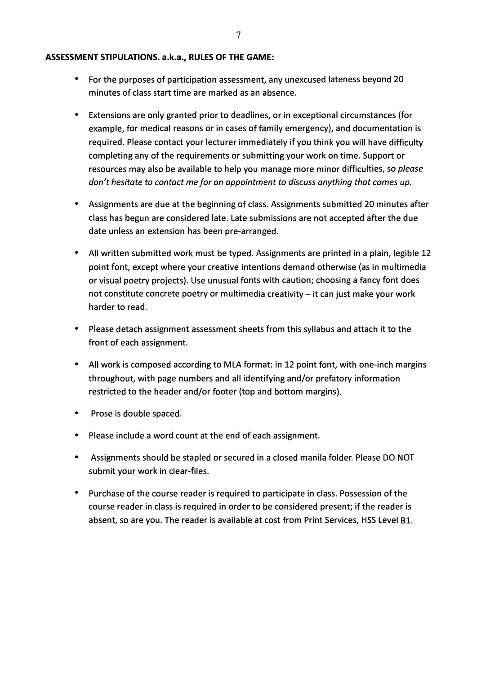#### **ASSESSMENT STIPULATIONS. a.k.a., RULES OF THE GAME:**

- For the purposes of participation assessment, any unexcused lateness beyond 20 minutes of c lass start time are marked as an absence.
- Extensions are only granted prior to deadlines, or in exceptional circumstances (for example, for medical reasons or in cases of family emergency), and documentation is required. Please contact your lecturer immediately if you think you will have di fficulty completing any of the requirements or submitting your work on time. Support or resources may also be available to help you manage more minor difficulties, so *please don't hesitate to contact me for an appointment to discuss anything that comes up.*
- Assignments are due at the beginning of c lass. Assignments submitted 20 minutes after class has begun are considered late. Late submissions are not accepted after the due date unless an extension has been pre-arranged.
- All written submitted work must be typed. Assignments are printed in a plain, legible 12 point font, except where your creative intentions demand otherwise (as in multimedia or visual poetry projects). Use unusual fonts with caution; choosing a fancy font does not constitute concrete poetry or multimedia creativity - it can just make your work harder to read.
- Please detach assignment assessment sheets from this syllabus and attach it to the front of each assignment.
- All work is composed according to MLA format: in 12 point font, with one-inch margins throughout, with page numbers and all identifying and/or prefatory information restricted to the header and/or footer (top and bottom margins).
- Prose is double spaced.
- Please include a word count at the end of each assignment.
- Assignments should be stapled or secured in a closed manila folder. Please DO NOT submit your work in clear-fi les.
- Purchase of the course reader is required to participate in c lass. Possession of the course reader in c lass is required in order to be considered present; i f the reader is absent, so are you. The reader is available at cost from Print Services, HSS Level Bl.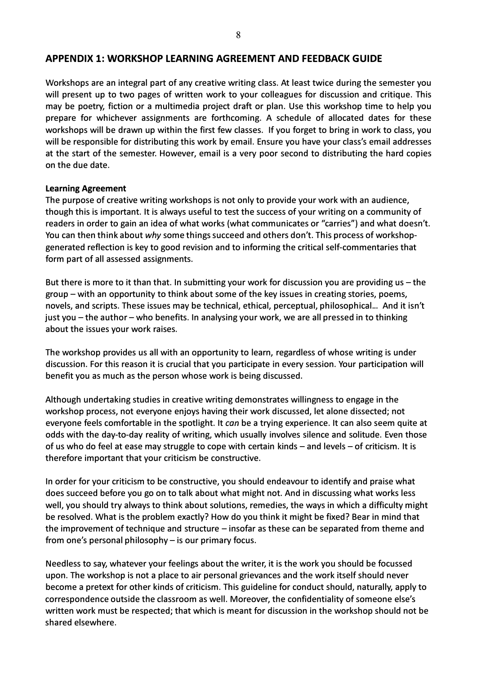#### **APPENDIX 1: WORKSHOP LEARNING AGREEMENT AND FEEDBACK GUIDE**

Workshops are an integral part of any creative writing class. At least twice during the semester you will present up to two pages of written work to your colleagues for discussion and critique. This may be poetry, fiction or a multimedia project draft or plan. Use this workshop time to help you prepare for whichever assignments are forthcoming. A schedule of allocated dates for these workshops will be drawn up within the first few classes. If you forget to bring in work to class, you will be responsible for distributing this work by email. Ensure you have your class's email addresses at the start of the semester. However, email is a very poor second to distributing the hard copies on the due date.

#### **Learning Agreement**

The purpose of creative writing workshops is not only to provide your work with an audience, though this is important. It is always useful to test the success of your writing on a community of readers in order to gain an idea of what works (what communicates or "carries") and what doesn't. You can then think about *why* some things succeed and others don't. This process of workshopgenerated reflection is key to good revision and to informing the critical self-commentaries that form part of all assessed assignments.

But there is more to it than that. In submitting your work for discussion you are providing us  $-$  the group – with an opportunity to think about some of the key issues in creating stories, poems, novels, and scripts. These issues may be technical, ethical, perceptual, philosophical... And it isn't just you - the author - who benefits. In analysing your work, we are all pressed in to thinking about the issues your work raises.

The workshop provides us all with an opportunity to learn, regardless of whose writing is under discussion. For this reason it is crucial that you participate in every session. Your participation will benefit you as much as the person whose work is being discussed.

Although undertaking studies in creative writing demonstrates willingness to engage in the workshop process, not everyone enjoys having their work discussed, let alone dissected; not everyone feels comfortable in the spotlight. It *can* be a trying experience. It can also seem quite at odds with the day-to-day reality of writing, which usually involves silence and solitude. Even those of us who do feel at ease may struggle to cope with certain kinds  $-$  and levels  $-$  of criticism. It is therefore important that your criticism be constructive.

In order for your criticism to be constructive, you should endeavour to identify and praise what does succeed before you go on to talk about what might not. And in discussing what works less well, you should try always to think about solutions, remedies, the ways in which a difficulty might be resolved. What is the problem exactly? How do you think it might be fixed? Bear in mind that the improvement of technique and structure  $-$  insofar as these can be separated from theme and from one's personal philosophy  $-$  is our primary focus.

Needless to say, whatever your feelings about the writer, it is the work you should be focussed upon. The workshop is not a place to air personal grievances and the work itself should never become a pretext for other kinds of criticism. This guideline for conduct should, naturally, apply to correspondence outside the classroom as well. Moreover, the confidentiality of someone else's written work must be respected; that which is meant for discussion in the workshop should not be shared elsewhere.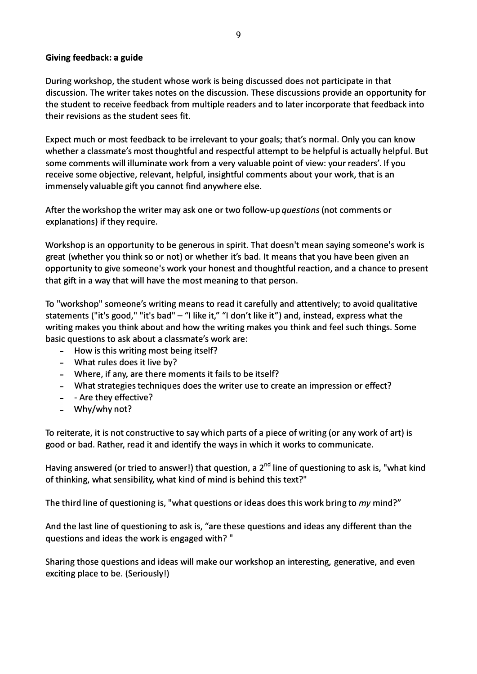## **Giving feedback: a guide**

During workshop, the student whose work is being discussed does not participate in that discussion. The writer takes notes on the discussion. These discussions provide an opportunity for the student to receive feedback from multiple readers and to later incorporate that feedback into their revisions as the student sees fit.

Expect much or most feedback to be irrelevant to your goals; that's normal. Only you can know whether a classmate's most thoughtful and respectful attempt to be helpful is actually helpful. But some comments will illuminate work from a very valuable point of view: your readers'. If you receive some objective, relevant, helpful, insightful comments about your work, that is an immensely valuable gift you cannot find anywhere else.

After the workshop the writer may ask one or two follow-up *questions* (not comments or explanations) if they require.

Workshop is an opportunity to be generous in spirit. That doesn't mean saying someone's work is great (whether you think so or not) or whether it's bad. It means that you have been given an opportunity to give someone's work your honest and thoughtful reaction, and a chance to present that gift in a way that will have the most meaning to that person.

To "workshop" someone's writing means to read it carefully and attentively; to avoid qualitative statements ("it's good," "it's bad" - "I like it," "I don't like it") and, instead, express what the writing makes you think about and how the writing makes you think and feel such things. Some basic questions to ask about a classmate's work are:

- How is this writing most being itself?
- What rules does it live by?
- Where, if any, are there moments it fails to be itself?
- What strategies techniques does the writer use to create an impression or effect?
- - Are they effective?
- Why/why not?

To reiterate, it is not constructive to say which parts of a piece of writing (or any work of art) is good or bad. Rather, read it and identify the ways in which it works to communicate.

Having answered (or tried to answer!) that question, a  $2^{nd}$  line of questioning to ask is, "what kind of thinking, what sensibility, what kind of mind is behind this text?"

The third line of questioning is, "what questions or ideas does this work bring to *my* mind?"

And the last line of questioning to ask is, "are these questions and ideas any different than the questions and ideas the work is engaged with? "

Sharing those questions and ideas will make our workshop an interesting, generative, and even exciting place to be. (Seriously!)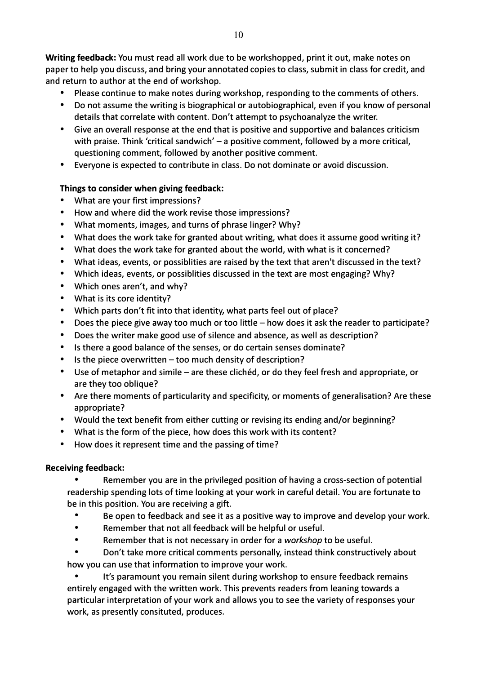**Writing feedback:** You must read all work due to be workshopped, print it out, make notes on paper to help you discuss, and bring your annotated copies to class, submit in class for credit, and and return to author at the end of workshop.

- Please continue to make notes during workshop, responding to the comments of others.
- Do not assume the writing is biographical or autobiographical, even if you know of personal details that correlate with content. Don't attempt to psychoanalyze the writer.
- Give an overall response at the end that is positive and supportive and balances criticism with praise. Think 'critical sandwich'  $-$  a positive comment, followed by a more critical, questioning comment, followed by another positive comment.
- Everyone is expected to contribute in class. Do not dominate or avoid discussion.

## **Things to consider when giving feedback:**

- What are your first impressions?
- How and where did the work revise those impressions?
- What moments, images, and turns of phrase linger? Why?
- What does the work take for granted about writing, what does it assume good writing it?
- What does the work take for granted about the world, with what is it concerned?
- What ideas, events, or possiblities are raised by the text that aren't discussed in the text?
- Which ideas, events, or possiblities discussed in the text are most engaging? Why?
- Which ones aren't, and why?
- What is its core identity?
- Which parts don't fit into that identity, what parts feel out of place?
- Does the piece give away too much or too little how does it ask the reader to participate?
- Does the writer make good use of silence and absence, as well as description?
- Is there a good balance of the senses, or do certain senses dominate?
- Is the piece overwritten  $-$  too much density of description?
- Use of metaphor and simile are these clichéd, or do they feel fresh and appropriate, or are they too oblique?
- Are there moments of particularity and specificity, or moments of generalisation? Are these appropriate?
- Would the text benefit from either cutting or revising its ending and/or beginning?
- What is the form of the piece, how does this work with its content?
- How does it represent time and the passing of time?

## **Receiving feedback:**

• Remember you are in the privileged position of having a cross-section of potential readership spending lots of time looking at your work in careful detail. You are fortunate to be in this position. You are receiving a gift.

- Be open to feedback and see it as a positive way to improve and develop your work.
- Remember that not all feedback will be helpful or useful.
- Remember that is not necessary in order for a *workshop* to be useful.

• Don't take more critical comments personally, instead think constructively about how you can use that information to improve your work.

• It's paramount you remain silent during workshop to ensure feedback remains entirely engaged with the written work. This prevents readers from leaning towards a particular interpretation of your work and allows you to see the variety of responses your work, as presently consituted, produces.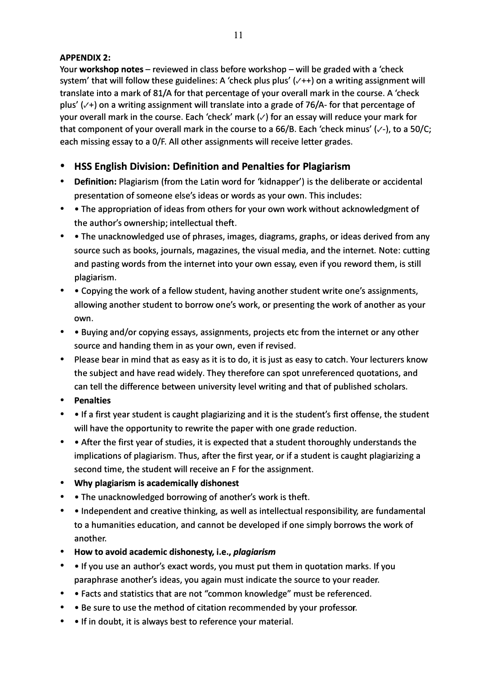# **APPENDIX 2:**

Your **workshop notes** – reviewed in class before workshop – will be graded with a 'check system' that will follow these guidelines: A 'check plus plus' (√++) on a writing assignment will translate into a mark of 81/A for that percentage of your overall mark in the course. A 'check plus'(✓+) on a writing assignment will translate into a grade of 76/A- for that percentage of your overall mark in the course. Each 'check' mark  $(\checkmark)$  for an essay will reduce your mark for that component of your overall mark in the course to a 66/B. Each 'check minus' ( $\vee$ -), to a 50/C; each missing essay to a 0/F. All other assignments will receive letter grades.

# **• HSS English Division: Definition and Penalties for Plagiarism**

- **Definition:** Plagiarism (from the Latin word for 'kidnapper') is the deliberate or accidental presentation of someone else's ideas or words as your own. This includes:
- • The appropriation of ideas from others for your own work without acknowledgment of the author's ownership; intellectual theft.
- • The unacknowledged use of phrases, images, diagrams, graphs, or ideas derived from any source such as books, journals, magazines, the visual media, and the internet. Note: cutting and pasting words from the internet into your own essay, even if you reword them, is still plagiarism.
- Copying the work of a fellow student, having another student write one's assignments, allowing another student to borrow one's work, or presenting the work of another as your own.
- • Buying and/or copying essays, assignments, projects etc from the internet or any other source and handing them in as your own, even if revised.
- Please bear in mind that as easy as it is to do, it is just as easy to catch. Your lecturers know the subject and have read widely. They therefore can spot unreferenced quotations, and can tell the difference between university level writing and that of published scholars.
- **Penalties**
- • If a first year student is caught plagiarizing and it is the student's first offense, the student will have the opportunity to rewrite the paper with one grade reduction.
- • After the first year of studies, it is expected that a student thoroughly understands the implications of plagiarism. Thus, after the first year, or if a student is caught plagiarizing a second time, the student will receive an F for the assignment.
- **Why plagiarism is academically dishonest**
- • The unacknowledged borrowing of another's work is theft.
- • Independent and creative thinking, as well as intellectual responsibility, are fundamental to a humanities education, and cannot be developed if one simply borrows the work of another.
- **How to avoid academic dishonesty, i.e.,** *plagiarism*
- • If you use an author's exact words, you must put them in quotation marks. If you paraphrase another's ideas, you again must indicate the source to your reader.
- • Facts and statistics that are not "common knowledge" must be referenced.
- • Be sure to use the method of citation recommended by your professor.
- • If in doubt, it is always best to reference your material.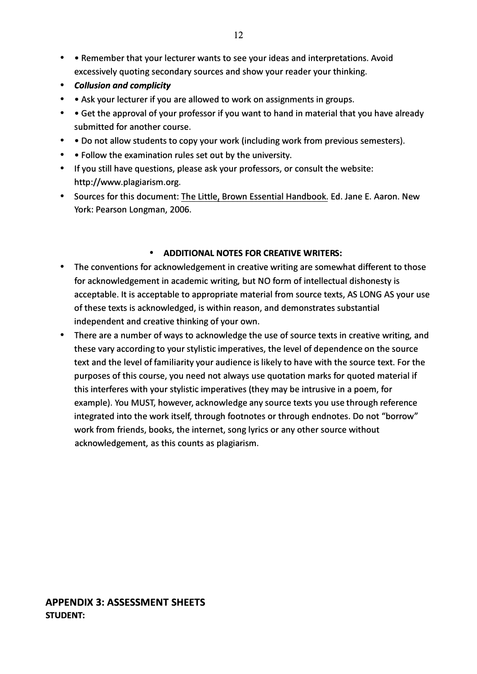- • Remember that your lecturer wants to see your ideas and interpretations. Avoid excessively quoting secondary sources and show your reader your thinking.
- *Collusion and complicity*
- • Ask your lecturer if you are allowed to work on assignments in groups.
- • Get the approval of your professor if you want to hand in material that you have already submitted for another course.
- • Do not allow students to copy your work {including work from previous semesters).
- • Follow the examination rules set out by the university.
- If you still have questions, please ask your professors, or consult the website: http://www.plagiarism.org.
- Sources for this document: The Little, Brown Essential Handbook. Ed. Jane E. Aaron. New York: Pearson Longman, 2006.

## **• ADDITIONAL NOTES FOR CREATIVE WRITERS:**

- The conventions for acknowledgement in creative writing are somewhat different to those for acknowledgement in academic writing, but NO form of intellectual dishonesty is acceptable. It is acceptable to appropriate material from source texts, AS LONG AS your use of these texts is acknowledged, is within reason, and demonstrates substantial independent and creative thinking of your own.
- There are a number of ways to acknowledge the use of source texts in creative writing, and these vary according to your stylistic imperatives, the level of dependence on the source text and the level of familiarity your audience is likely to have with the source text. For the purposes of this course, you need not always use quotation marks for quoted material if this interferes with your stylistic imperatives {they may be intrusive in a poem, for example). You MUST, however, acknowledge any source texts you use through reference integrated into the work itself, through footnotes or through endnotes. Do not "borrow" work from friends, books, the internet, song lyrics or any other source without acknowledgement, as this counts as plagiarism.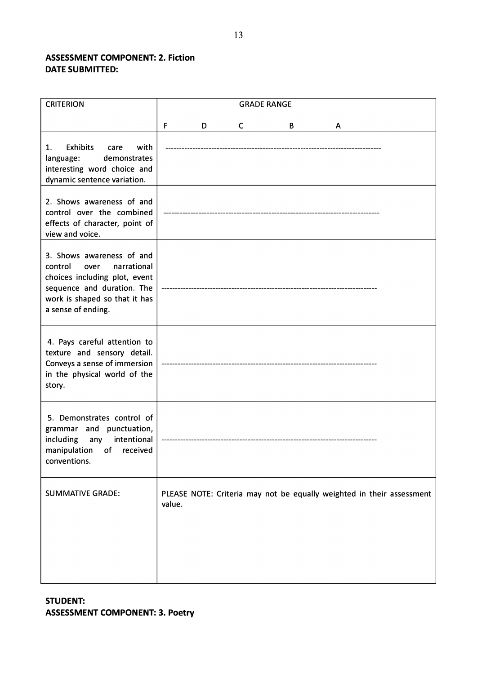# **ASSESSMENT COMPONENT: 2. Fiction DATE SUBMITTED:**

| <b>CRITERION</b>                                                                                                                                                                  | <b>GRADE RANGE</b> |   |   |   |   |                                                                       |
|-----------------------------------------------------------------------------------------------------------------------------------------------------------------------------------|--------------------|---|---|---|---|-----------------------------------------------------------------------|
|                                                                                                                                                                                   | F                  | D | C | В | A |                                                                       |
| <b>Exhibits</b><br>with<br>1.<br>care<br>demonstrates<br>language:<br>interesting word choice and<br>dynamic sentence variation.                                                  |                    |   |   |   |   |                                                                       |
| 2. Shows awareness of and<br>control over the combined<br>effects of character, point of<br>view and voice.                                                                       |                    |   |   |   |   |                                                                       |
| 3. Shows awareness of and<br>narrational<br>control<br>over<br>choices including plot, event<br>sequence and duration. The<br>work is shaped so that it has<br>a sense of ending. |                    |   |   |   |   |                                                                       |
| 4. Pays careful attention to<br>texture and sensory detail.<br>Conveys a sense of immersion<br>in the physical world of the<br>story.                                             |                    |   |   |   |   |                                                                       |
| 5. Demonstrates control of<br>grammar and punctuation,<br>including<br>intentional<br>any<br>manipulation<br>of<br>received<br>conventions.                                       |                    |   |   |   |   |                                                                       |
| <b>SUMMATIVE GRADE:</b>                                                                                                                                                           | value.             |   |   |   |   | PLEASE NOTE: Criteria may not be equally weighted in their assessment |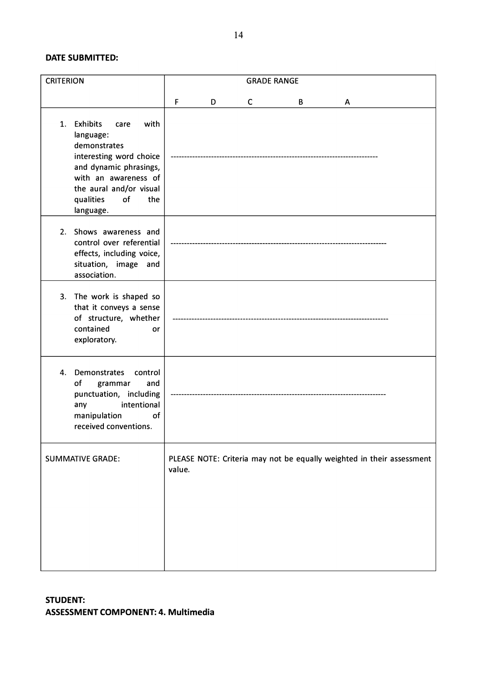#### **DATE SUBMITTED:**

| <b>CRITERION</b>                                                                                                                                                                                                  | <b>GRADE RANGE</b> |   |   |   |   |                                                                       |  |
|-------------------------------------------------------------------------------------------------------------------------------------------------------------------------------------------------------------------|--------------------|---|---|---|---|-----------------------------------------------------------------------|--|
|                                                                                                                                                                                                                   | F                  | D | C | B | Α |                                                                       |  |
| <b>Exhibits</b><br>with<br>1.<br>care<br>language:<br>demonstrates<br>interesting word choice<br>and dynamic phrasings,<br>with an awareness of<br>the aural and/or visual<br>qualities<br>of<br>the<br>language. |                    |   |   |   |   |                                                                       |  |
| 2. Shows awareness and<br>control over referential<br>effects, including voice,<br>situation, image and<br>association.                                                                                           |                    |   |   |   |   |                                                                       |  |
| 3. The work is shaped so<br>that it conveys a sense<br>of structure, whether<br>contained<br>or<br>exploratory.                                                                                                   |                    |   |   |   |   |                                                                       |  |
| Demonstrates<br>4.<br>control<br>of<br>grammar<br>and<br>punctuation, including<br>intentional<br>any<br>manipulation<br>of<br>received conventions.                                                              |                    |   |   |   |   |                                                                       |  |
| <b>SUMMATIVE GRADE:</b>                                                                                                                                                                                           | value.             |   |   |   |   | PLEASE NOTE: Criteria may not be equally weighted in their assessment |  |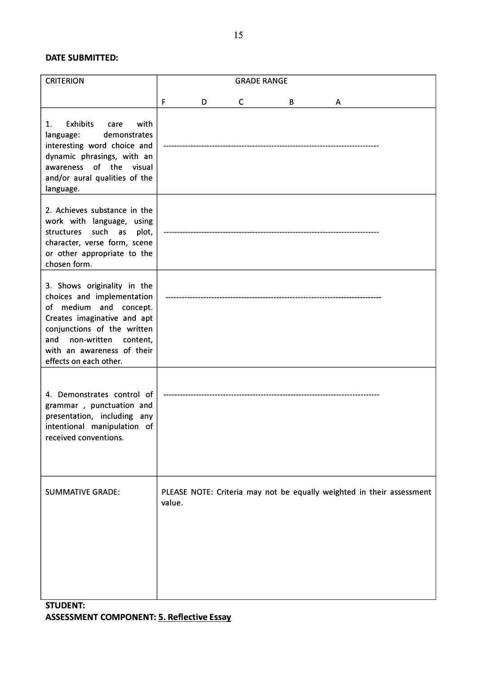#### **DATE SUBMITTED:**

| <b>CRITERION</b>                                                                                                                                                                                                                      | <b>GRADE RANGE</b> |   |              |   |   |                                                                       |
|---------------------------------------------------------------------------------------------------------------------------------------------------------------------------------------------------------------------------------------|--------------------|---|--------------|---|---|-----------------------------------------------------------------------|
|                                                                                                                                                                                                                                       | F                  | D | $\mathsf{C}$ | B | A |                                                                       |
| <b>Exhibits</b><br>1.<br>with<br>care<br>demonstrates<br>language:<br>interesting word choice and<br>dynamic phrasings, with an<br>awareness of the visual<br>and/or aural qualities of the<br>language.                              |                    |   |              |   |   |                                                                       |
| 2. Achieves substance in the<br>work with language, using<br>such as<br>structures<br>plot,<br>character, verse form, scene<br>or other appropriate to the<br>chosen form.                                                            |                    |   |              |   |   |                                                                       |
| 3. Shows originality in the<br>choices and implementation<br>of medium and concept.<br>Creates imaginative and apt<br>conjunctions of the written<br>and non-written content,<br>with an awareness of their<br>effects on each other. |                    |   |              |   |   |                                                                       |
| 4. Demonstrates control of<br>grammar, punctuation and<br>presentation, including any<br>intentional manipulation of<br>received conventions.                                                                                         |                    |   |              |   |   |                                                                       |
| <b>SUMMATIVE GRADE:</b>                                                                                                                                                                                                               | value.             |   |              |   |   | PLEASE NOTE: Criteria may not be equally weighted in their assessment |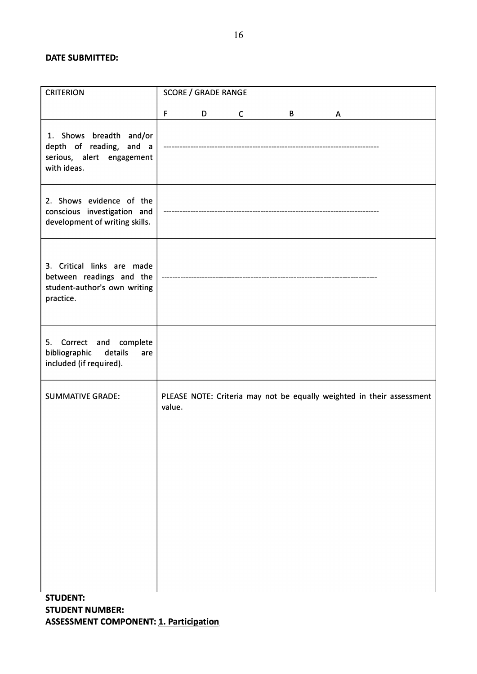#### **DATE SUBMITTED:**

| <b>CRITERION</b>                                                                                    | <b>SCORE / GRADE RANGE</b>                                                      |  |  |  |  |  |  |  |
|-----------------------------------------------------------------------------------------------------|---------------------------------------------------------------------------------|--|--|--|--|--|--|--|
|                                                                                                     | F<br>D<br>C<br>B<br>A                                                           |  |  |  |  |  |  |  |
| 1. Shows breadth and/or<br>depth of reading, and a<br>serious, alert engagement<br>with ideas.      |                                                                                 |  |  |  |  |  |  |  |
| 2. Shows evidence of the<br>conscious investigation and<br>development of writing skills.           |                                                                                 |  |  |  |  |  |  |  |
| 3. Critical links are made<br>between readings and the<br>student-author's own writing<br>practice. |                                                                                 |  |  |  |  |  |  |  |
| 5. Correct and complete<br>bibliographic<br>details<br>are<br>included (if required).               |                                                                                 |  |  |  |  |  |  |  |
| <b>SUMMATIVE GRADE:</b>                                                                             | PLEASE NOTE: Criteria may not be equally weighted in their assessment<br>value. |  |  |  |  |  |  |  |